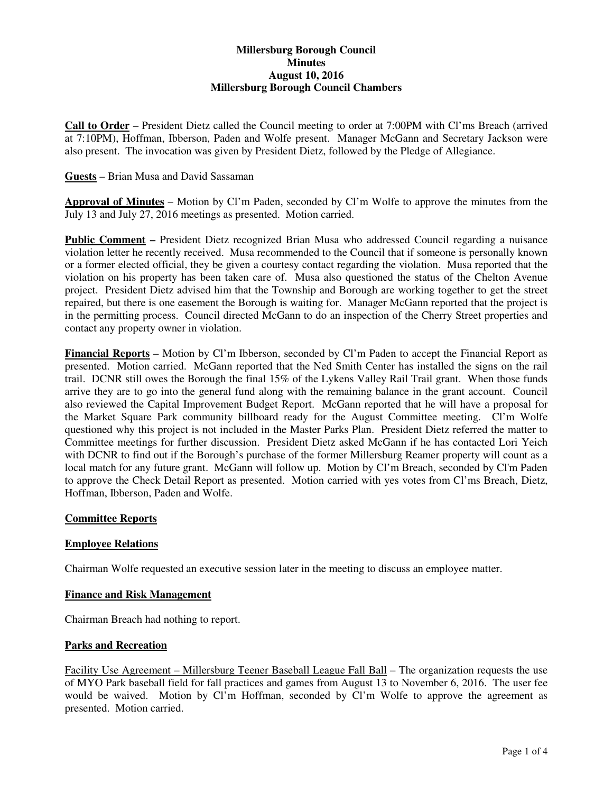## **Millersburg Borough Council Minutes August 10, 2016 Millersburg Borough Council Chambers**

**Call to Order** – President Dietz called the Council meeting to order at 7:00PM with Cl'ms Breach (arrived at 7:10PM), Hoffman, Ibberson, Paden and Wolfe present. Manager McGann and Secretary Jackson were also present. The invocation was given by President Dietz, followed by the Pledge of Allegiance.

## **Guests** – Brian Musa and David Sassaman

**Approval of Minutes** – Motion by Cl'm Paden, seconded by Cl'm Wolfe to approve the minutes from the July 13 and July 27, 2016 meetings as presented. Motion carried.

**Public Comment –** President Dietz recognized Brian Musa who addressed Council regarding a nuisance violation letter he recently received. Musa recommended to the Council that if someone is personally known or a former elected official, they be given a courtesy contact regarding the violation. Musa reported that the violation on his property has been taken care of. Musa also questioned the status of the Chelton Avenue project. President Dietz advised him that the Township and Borough are working together to get the street repaired, but there is one easement the Borough is waiting for. Manager McGann reported that the project is in the permitting process. Council directed McGann to do an inspection of the Cherry Street properties and contact any property owner in violation.

**Financial Reports** – Motion by Cl'm Ibberson, seconded by Cl'm Paden to accept the Financial Report as presented. Motion carried. McGann reported that the Ned Smith Center has installed the signs on the rail trail. DCNR still owes the Borough the final 15% of the Lykens Valley Rail Trail grant. When those funds arrive they are to go into the general fund along with the remaining balance in the grant account. Council also reviewed the Capital Improvement Budget Report. McGann reported that he will have a proposal for the Market Square Park community billboard ready for the August Committee meeting. Cl'm Wolfe questioned why this project is not included in the Master Parks Plan. President Dietz referred the matter to Committee meetings for further discussion. President Dietz asked McGann if he has contacted Lori Yeich with DCNR to find out if the Borough's purchase of the former Millersburg Reamer property will count as a local match for any future grant. McGann will follow up. Motion by Cl'm Breach, seconded by Cl'm Paden to approve the Check Detail Report as presented. Motion carried with yes votes from Cl'ms Breach, Dietz, Hoffman, Ibberson, Paden and Wolfe.

## **Committee Reports**

### **Employee Relations**

Chairman Wolfe requested an executive session later in the meeting to discuss an employee matter.

### **Finance and Risk Management**

Chairman Breach had nothing to report.

### **Parks and Recreation**

Facility Use Agreement – Millersburg Teener Baseball League Fall Ball – The organization requests the use of MYO Park baseball field for fall practices and games from August 13 to November 6, 2016. The user fee would be waived. Motion by Cl'm Hoffman, seconded by Cl'm Wolfe to approve the agreement as presented. Motion carried.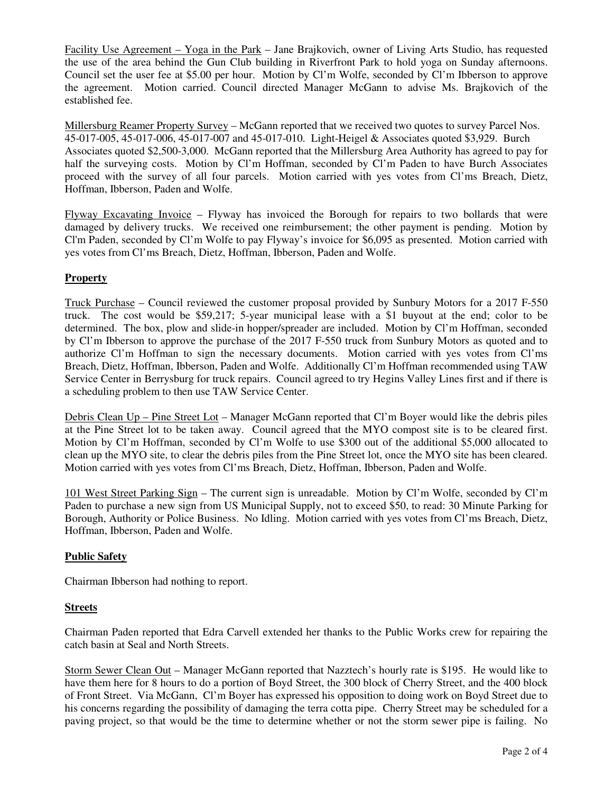Facility Use Agreement – Yoga in the Park – Jane Brajkovich, owner of Living Arts Studio, has requested the use of the area behind the Gun Club building in Riverfront Park to hold yoga on Sunday afternoons. Council set the user fee at \$5.00 per hour. Motion by Cl'm Wolfe, seconded by Cl'm Ibberson to approve the agreement. Motion carried. Council directed Manager McGann to advise Ms. Brajkovich of the established fee.

Millersburg Reamer Property Survey – McGann reported that we received two quotes to survey Parcel Nos. 45-017-005, 45-017-006, 45-017-007 and 45-017-010. Light-Heigel & Associates quoted \$3,929. Burch Associates quoted \$2,500-3,000. McGann reported that the Millersburg Area Authority has agreed to pay for half the surveying costs. Motion by Cl'm Hoffman, seconded by Cl'm Paden to have Burch Associates proceed with the survey of all four parcels. Motion carried with yes votes from Cl'ms Breach, Dietz, Hoffman, Ibberson, Paden and Wolfe.

Flyway Excavating Invoice – Flyway has invoiced the Borough for repairs to two bollards that were damaged by delivery trucks. We received one reimbursement; the other payment is pending. Motion by Cl'm Paden, seconded by Cl'm Wolfe to pay Flyway's invoice for \$6,095 as presented. Motion carried with yes votes from Cl'ms Breach, Dietz, Hoffman, Ibberson, Paden and Wolfe.

# **Property**

Truck Purchase – Council reviewed the customer proposal provided by Sunbury Motors for a 2017 F-550 truck. The cost would be \$59,217; 5-year municipal lease with a \$1 buyout at the end; color to be determined. The box, plow and slide-in hopper/spreader are included. Motion by Cl'm Hoffman, seconded by Cl'm Ibberson to approve the purchase of the 2017 F-550 truck from Sunbury Motors as quoted and to authorize Cl'm Hoffman to sign the necessary documents. Motion carried with yes votes from Cl'ms Breach, Dietz, Hoffman, Ibberson, Paden and Wolfe. Additionally Cl'm Hoffman recommended using TAW Service Center in Berrysburg for truck repairs. Council agreed to try Hegins Valley Lines first and if there is a scheduling problem to then use TAW Service Center.

Debris Clean Up – Pine Street Lot – Manager McGann reported that Cl'm Boyer would like the debris piles at the Pine Street lot to be taken away. Council agreed that the MYO compost site is to be cleared first. Motion by Cl'm Hoffman, seconded by Cl'm Wolfe to use \$300 out of the additional \$5,000 allocated to clean up the MYO site, to clear the debris piles from the Pine Street lot, once the MYO site has been cleared. Motion carried with yes votes from Cl'ms Breach, Dietz, Hoffman, Ibberson, Paden and Wolfe.

101 West Street Parking Sign – The current sign is unreadable. Motion by Cl'm Wolfe, seconded by Cl'm Paden to purchase a new sign from US Municipal Supply, not to exceed \$50, to read: 30 Minute Parking for Borough, Authority or Police Business. No Idling. Motion carried with yes votes from Cl'ms Breach, Dietz, Hoffman, Ibberson, Paden and Wolfe.

# **Public Safety**

Chairman Ibberson had nothing to report.

## **Streets**

Chairman Paden reported that Edra Carvell extended her thanks to the Public Works crew for repairing the catch basin at Seal and North Streets.

Storm Sewer Clean Out – Manager McGann reported that Nazztech's hourly rate is \$195. He would like to have them here for 8 hours to do a portion of Boyd Street, the 300 block of Cherry Street, and the 400 block of Front Street. Via McGann, Cl'm Boyer has expressed his opposition to doing work on Boyd Street due to his concerns regarding the possibility of damaging the terra cotta pipe. Cherry Street may be scheduled for a paving project, so that would be the time to determine whether or not the storm sewer pipe is failing. No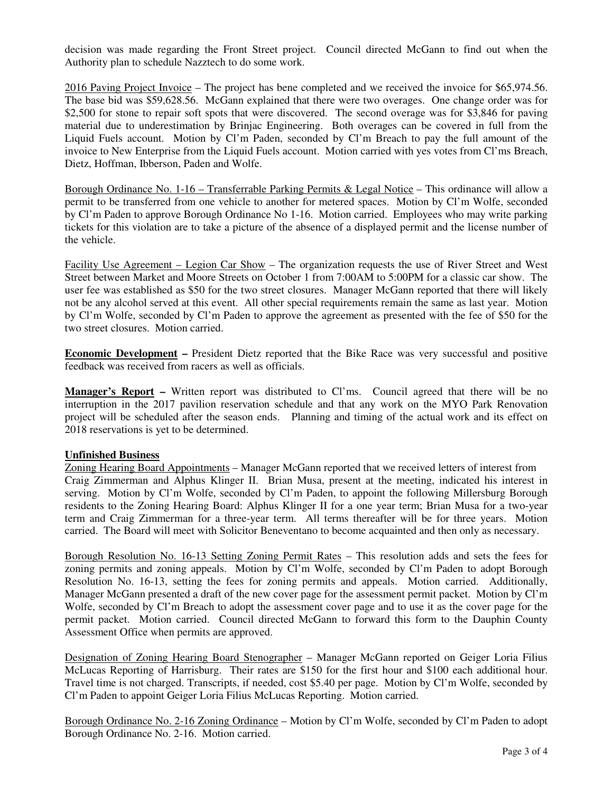decision was made regarding the Front Street project. Council directed McGann to find out when the Authority plan to schedule Nazztech to do some work.

2016 Paving Project Invoice – The project has bene completed and we received the invoice for \$65,974.56. The base bid was \$59,628.56. McGann explained that there were two overages. One change order was for \$2,500 for stone to repair soft spots that were discovered. The second overage was for \$3,846 for paving material due to underestimation by Brinjac Engineering. Both overages can be covered in full from the Liquid Fuels account. Motion by Cl'm Paden, seconded by Cl'm Breach to pay the full amount of the invoice to New Enterprise from the Liquid Fuels account. Motion carried with yes votes from Cl'ms Breach, Dietz, Hoffman, Ibberson, Paden and Wolfe.

Borough Ordinance No. 1-16 – Transferrable Parking Permits & Legal Notice – This ordinance will allow a permit to be transferred from one vehicle to another for metered spaces. Motion by Cl'm Wolfe, seconded by Cl'm Paden to approve Borough Ordinance No 1-16. Motion carried. Employees who may write parking tickets for this violation are to take a picture of the absence of a displayed permit and the license number of the vehicle.

Facility Use Agreement – Legion Car Show – The organization requests the use of River Street and West Street between Market and Moore Streets on October 1 from 7:00AM to 5:00PM for a classic car show. The user fee was established as \$50 for the two street closures. Manager McGann reported that there will likely not be any alcohol served at this event. All other special requirements remain the same as last year. Motion by Cl'm Wolfe, seconded by Cl'm Paden to approve the agreement as presented with the fee of \$50 for the two street closures. Motion carried.

**Economic Development –** President Dietz reported that the Bike Race was very successful and positive feedback was received from racers as well as officials.

**Manager's Report –** Written report was distributed to Cl'ms. Council agreed that there will be no interruption in the 2017 pavilion reservation schedule and that any work on the MYO Park Renovation project will be scheduled after the season ends. Planning and timing of the actual work and its effect on 2018 reservations is yet to be determined.

## **Unfinished Business**

Zoning Hearing Board Appointments – Manager McGann reported that we received letters of interest from Craig Zimmerman and Alphus Klinger II. Brian Musa, present at the meeting, indicated his interest in serving. Motion by Cl'm Wolfe, seconded by Cl'm Paden, to appoint the following Millersburg Borough residents to the Zoning Hearing Board: Alphus Klinger II for a one year term; Brian Musa for a two-year term and Craig Zimmerman for a three-year term. All terms thereafter will be for three years. Motion carried. The Board will meet with Solicitor Beneventano to become acquainted and then only as necessary.

Borough Resolution No. 16-13 Setting Zoning Permit Rates – This resolution adds and sets the fees for zoning permits and zoning appeals. Motion by Cl'm Wolfe, seconded by Cl'm Paden to adopt Borough Resolution No. 16-13, setting the fees for zoning permits and appeals. Motion carried. Additionally, Manager McGann presented a draft of the new cover page for the assessment permit packet. Motion by Cl'm Wolfe, seconded by Cl'm Breach to adopt the assessment cover page and to use it as the cover page for the permit packet. Motion carried. Council directed McGann to forward this form to the Dauphin County Assessment Office when permits are approved.

Designation of Zoning Hearing Board Stenographer – Manager McGann reported on Geiger Loria Filius McLucas Reporting of Harrisburg. Their rates are \$150 for the first hour and \$100 each additional hour. Travel time is not charged. Transcripts, if needed, cost \$5.40 per page. Motion by Cl'm Wolfe, seconded by Cl'm Paden to appoint Geiger Loria Filius McLucas Reporting. Motion carried.

Borough Ordinance No. 2-16 Zoning Ordinance - Motion by Cl'm Wolfe, seconded by Cl'm Paden to adopt Borough Ordinance No. 2-16. Motion carried.